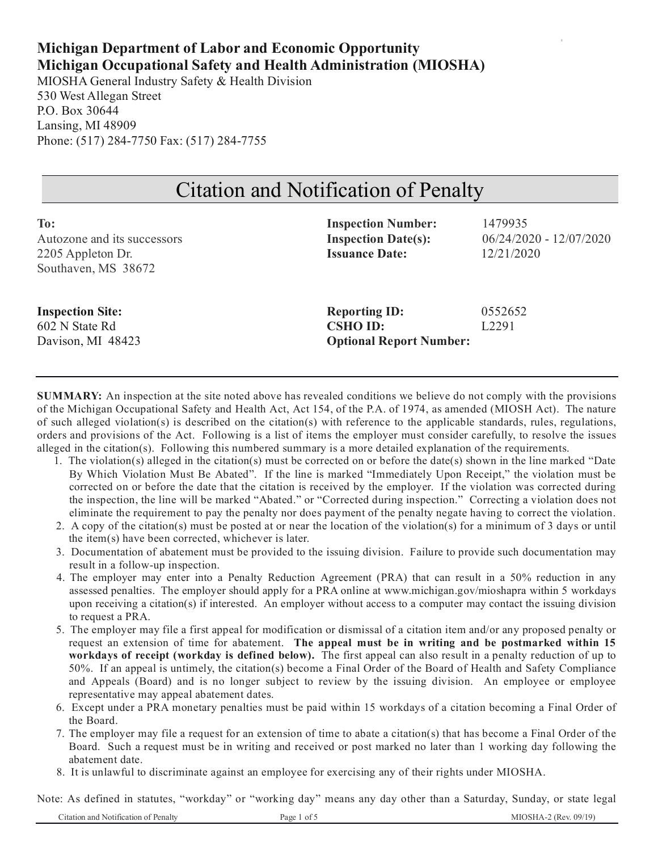# **Michigan Department of Labor and Economic Opportunity Michigan Occupational Safety and Health Administration (MIOSHA)**

MIOSHA General Industry Safety & Health Division 530 West Allegan Street P.O. Box 30644 Lansing, MI 48909 Phone: (517) 284-7750 Fax: (517) 284-7755

# Citation and Notification of Penalty

| To:                         | <b>Inspection Number:</b>      | 1479935                   |
|-----------------------------|--------------------------------|---------------------------|
| Autozone and its successors | <b>Inspection Date(s):</b>     | $06/24/2020 - 12/07/2020$ |
| 2205 Appleton Dr.           | <b>Issuance Date:</b>          | 12/21/2020                |
| Southaven, MS 38672         |                                |                           |
|                             |                                |                           |
| <b>Inspection Site:</b>     | <b>Reporting ID:</b>           | 0552652                   |
| 602 N State Rd              | <b>CSHO ID:</b>                | L <sub>2291</sub>         |
| Davison, MI 48423           | <b>Optional Report Number:</b> |                           |

**SUMMARY:** An inspection at the site noted above has revealed conditions we believe do not comply with the provisions of the Michigan Occupational Safety and Health Act, Act 154, of the P.A. of 1974, as amended (MIOSH Act). The nature of such alleged violation(s) is described on the citation(s) with reference to the applicable standards, rules, regulations, orders and provisions of the Act. Following is a list of items the employer must consider carefully, to resolve the issues alleged in the citation(s). Following this numbered summary is a more detailed explanation of the requirements.

- 1. The violation(s) alleged in the citation(s) must be corrected on or before the date(s) shown in the line marked "Date By Which Violation Must Be Abated". If the line is marked "Immediately Upon Receipt," the violation must be corrected on or before the date that the citation is received by the employer. If the violation was corrected during the inspection, the line will be marked "Abated." or "Corrected during inspection." Correcting a violation does not eliminate the requirement to pay the penalty nor does payment of the penalty negate having to correct the violation.
- 2. A copy of the citation(s) must be posted at or near the location of the violation(s) for a minimum of 3 days or until the item(s) have been corrected, whichever is later.
- 3. Documentation of abatement must be provided to the issuing division. Failure to provide such documentation may result in a follow-up inspection.
- 4. The employer may enter into a Penalty Reduction Agreement (PRA) that can result in a 50% reduction in any assessed penalties. The employer should apply for a PRA online at www.michigan.gov/mioshapra within 5 workdays upon receiving a citation(s) if interested. An employer without access to a computer may contact the issuing division to request a PRA.
- 5. The employer may file a first appeal for modification or dismissal of a citation item and/or any proposed penalty or request an extension of time for abatement. **The appeal must be in writing and be postmarked within 15 workdays of receipt (workday is defined below).** The first appeal can also result in a penalty reduction of up to 50%. If an appeal is untimely, the citation(s) become a Final Order of the Board of Health and Safety Compliance and Appeals (Board) and is no longer subject to review by the issuing division. An employee or employee representative may appeal abatement dates.
- 6. Except under a PRA monetary penalties must be paid within 15 workdays of a citation becoming a Final Order of the Board.
- 7. The employer may file a request for an extension of time to abate a citation(s) that has become a Final Order of the Board. Such a request must be in writing and received or post marked no later than 1 working day following the abatement date.
- 8. It is unlawful to discriminate against an employee for exercising any of their rights under MIOSHA.

Note: As defined in statutes, "workday" or "working day" means any day other than a Saturday, Sunday, or state legal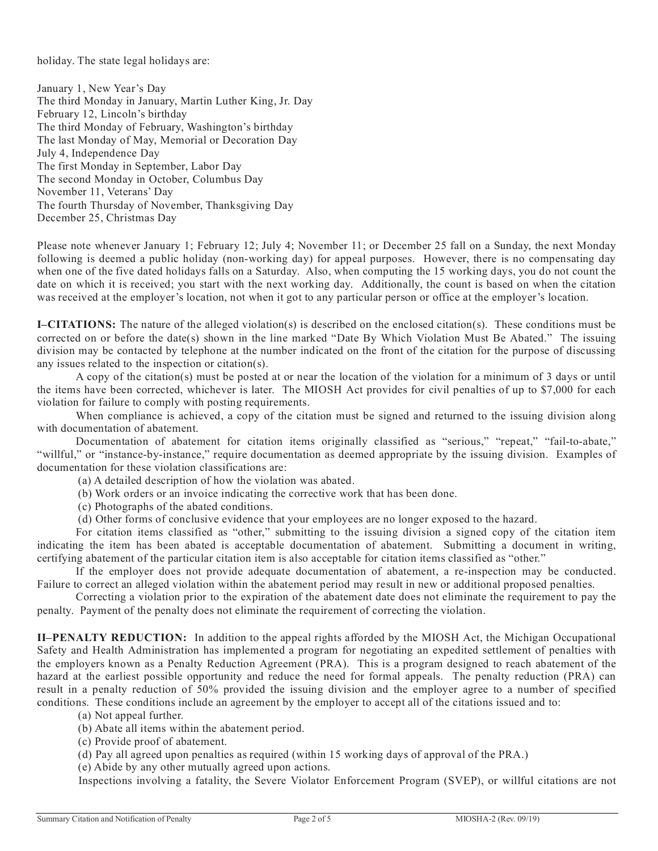holiday. The state legal holidays are:

January 1, New Year's Day The third Monday in January, Martin Luther King, Jr. Day February 12, Lincoln's birthday The third Monday of February, Washington's birthday The last Monday of May, Memorial or Decoration Day July 4, Independence Day The first Monday in September, Labor Day The second Monday in October, Columbus Day November 11, Veterans' Day The fourth Thursday of November, Thanksgiving Day December 25, Christmas Day

Please note whenever January 1; February 12; July 4; November 11; or December 25 fall on a Sunday, the next Monday following is deemed a public holiday (non-working day) for appeal purposes. However, there is no compensating day when one of the five dated holidays falls on a Saturday. Also, when computing the 15 working days, you do not count the date on which it is received; you start with the next working day. Additionally, the count is based on when the citation was received at the employer's location, not when it got to any particular person or office at the employer's location.

**I–CITATIONS:** The nature of the alleged violation(s) is described on the enclosed citation(s). These conditions must be corrected on or before the date(s) shown in the line marked "Date By Which Violation Must Be Abated." The issuing division may be contacted by telephone at the number indicated on the front of the citation for the purpose of discussing any issues related to the inspection or citation(s).

A copy of the citation(s) must be posted at or near the location of the violation for a minimum of 3 days or until the items have been corrected, whichever is later. The MIOSH Act provides for civil penalties of up to \$7,000 for each violation for failure to comply with posting requirements.

When compliance is achieved, a copy of the citation must be signed and returned to the issuing division along with documentation of abatement.

Documentation of abatement for citation items originally classified as "serious," "repeat," "fail-to-abate," "willful," or "instance-by-instance," require documentation as deemed appropriate by the issuing division. Examples of documentation for these violation classifications are:

(a) A detailed description of how the violation was abated.

- (b) Work orders or an invoice indicating the corrective work that has been done.
- (c) Photographs of the abated conditions.
- (d) Other forms of conclusive evidence that your employees are no longer exposed to the hazard.

For citation items classified as "other," submitting to the issuing division a signed copy of the citation item indicating the item has been abated is acceptable documentation of abatement. Submitting a document in writing, certifying abatement of the particular citation item is also acceptable for citation items classified as "other."

If the employer does not provide adequate documentation of abatement, a re-inspection may be conducted. Failure to correct an alleged violation within the abatement period may result in new or additional proposed penalties.

Correcting a violation prior to the expiration of the abatement date does not eliminate the requirement to pay the penalty. Payment of the penalty does not eliminate the requirement of correcting the violation.

**II–PENALTY REDUCTION:** In addition to the appeal rights afforded by the MIOSH Act, the Michigan Occupational Safety and Health Administration has implemented a program for negotiating an expedited settlement of penalties with the employers known as a Penalty Reduction Agreement (PRA). This is a program designed to reach abatement of the hazard at the earliest possible opportunity and reduce the need for formal appeals. The penalty reduction (PRA) can result in a penalty reduction of 50% provided the issuing division and the employer agree to a number of specified conditions. These conditions include an agreement by the employer to accept all of the citations issued and to:

- (a) Not appeal further.
- (b) Abate all items within the abatement period.
- (c) Provide proof of abatement.
- (d) Pay all agreed upon penalties as required (within 15 working days of approval of the PRA.)

(e) Abide by any other mutually agreed upon actions.

Inspections involving a fatality, the Severe Violator Enforcement Program (SVEP), or willful citations are not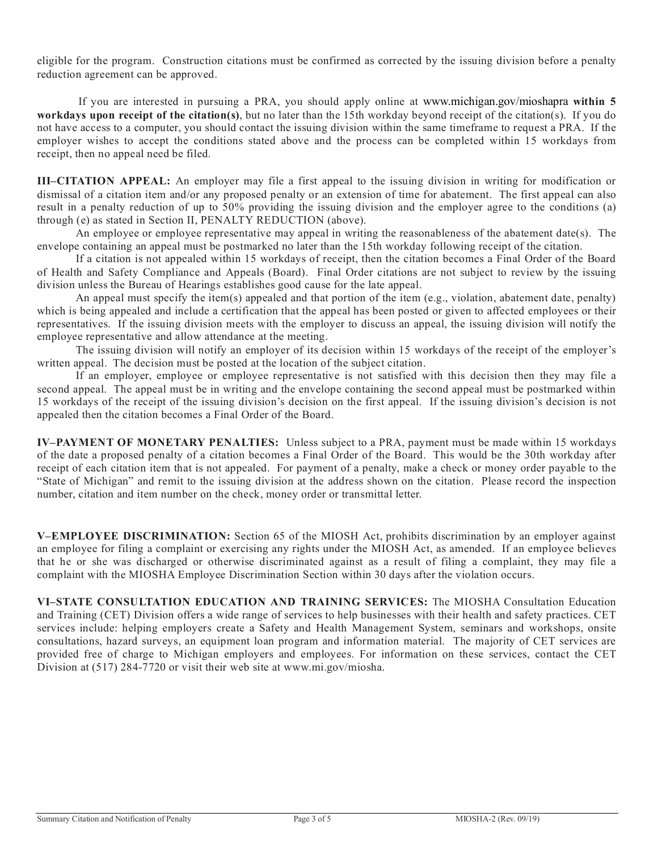eligible for the program. Construction citations must be confirmed as corrected by the issuing division before a penalty reduction agreement can be approved.

If you are interested in pursuing a PRA, you should apply online at www.michigan.gov/mioshapra **within 5 workdays upon receipt of the citation(s)**, but no later than the 15th workday beyond receipt of the citation(s). If you do not have access to a computer, you should contact the issuing division within the same timeframe to request a PRA. If the employer wishes to accept the conditions stated above and the process can be completed within 15 workdays from receipt, then no appeal need be filed.

**III–CITATION APPEAL:** An employer may file a first appeal to the issuing division in writing for modification or dismissal of a citation item and/or any proposed penalty or an extension of time for abatement. The first appeal can also result in a penalty reduction of up to 50% providing the issuing division and the employer agree to the conditions (a) through (e) as stated in Section II, PENALTY REDUCTION (above).

An employee or employee representative may appeal in writing the reasonableness of the abatement date(s). The envelope containing an appeal must be postmarked no later than the 15th workday following receipt of the citation.

If a citation is not appealed within 15 workdays of receipt, then the citation becomes a Final Order of the Board of Health and Safety Compliance and Appeals (Board). Final Order citations are not subject to review by the issuing division unless the Bureau of Hearings establishes good cause for the late appeal.

An appeal must specify the item(s) appealed and that portion of the item (e.g., violation, abatement date, penalty) which is being appealed and include a certification that the appeal has been posted or given to affected employees or their representatives. If the issuing division meets with the employer to discuss an appeal, the issuing division will notify the employee representative and allow attendance at the meeting.

The issuing division will notify an employer of its decision within 15 workdays of the receipt of the employer's written appeal. The decision must be posted at the location of the subject citation.

If an employer, employee or employee representative is not satisfied with this decision then they may file a second appeal. The appeal must be in writing and the envelope containing the second appeal must be postmarked within 15 workdays of the receipt of the issuing division's decision on the first appeal. If the issuing division's decision is not appealed then the citation becomes a Final Order of the Board.

**IV–PAYMENT OF MONETARY PENALTIES:** Unless subject to a PRA, payment must be made within 15 workdays of the date a proposed penalty of a citation becomes a Final Order of the Board. This would be the 30th workday after receipt of each citation item that is not appealed. For payment of a penalty, make a check or money order payable to the "State of Michigan" and remit to the issuing division at the address shown on the citation. Please record the inspection number, citation and item number on the check, money order or transmittal letter.

**V–EMPLOYEE DISCRIMINATION:** Section 65 of the MIOSH Act, prohibits discrimination by an employer against an employee for filing a complaint or exercising any rights under the MIOSH Act, as amended. If an employee believes that he or she was discharged or otherwise discriminated against as a result of filing a complaint, they may file a complaint with the MIOSHA Employee Discrimination Section within 30 days after the violation occurs.

**VI–STATE CONSULTATION EDUCATION AND TRAINING SERVICES:** The MIOSHA Consultation Education and Training (CET) Division offers a wide range of services to help businesses with their health and safety practices. CET services include: helping employers create a Safety and Health Management System, seminars and workshops, onsite consultations, hazard surveys, an equipment loan program and information material. The majority of CET services are provided free of charge to Michigan employers and employees. For information on these services, contact the CET Division at (517) 284-7720 or visit their web site at www.mi.gov/miosha.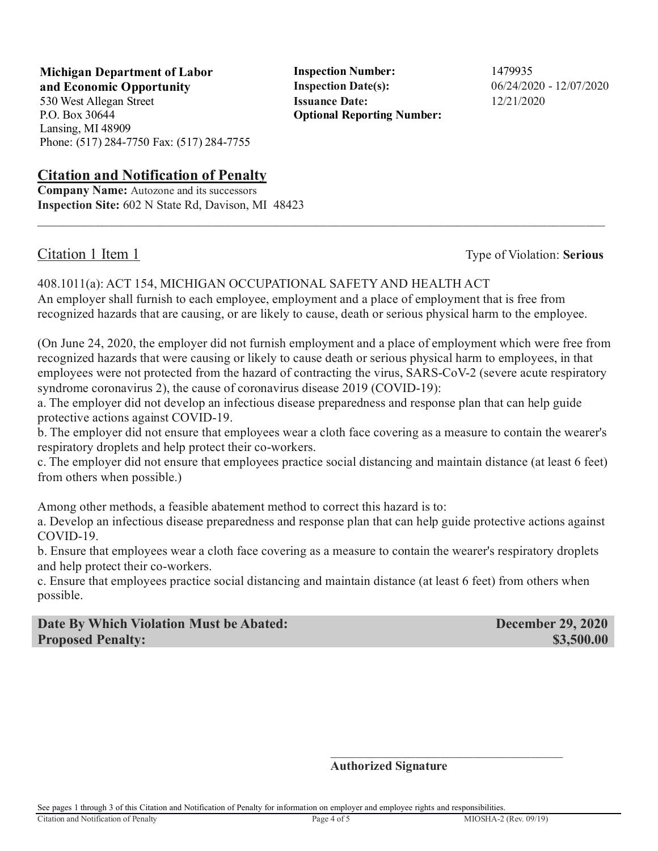**Michigan Department of Labor** Inspection Number: 1479935 **and Economic Opportunity Inspection Date(s):** 06/24/2020 - 12/07/2020 530 West Allegan Street **Issuance Date:** 12/21/2020

P.O. Box 30644 Lansing, MI 48909 Phone: (517) 284-7750 Fax: (517) 284-7755

# **Citation and Notification of Penalty**

**Company Name:** Autozone and its successors **Inspection Site:** 602 N State Rd, Davison, MI 48423

**Optional Reporting Number:** 

Citation 1 Item 1 Type of Violation: **Serious**

408.1011(a): ACT 154, MICHIGAN OCCUPATIONAL SAFETY AND HEALTH ACT An employer shall furnish to each employee, employment and a place of employment that is free from recognized hazards that are causing, or are likely to cause, death or serious physical harm to the employee.

 $\_$  ,  $\_$  ,  $\_$  ,  $\_$  ,  $\_$  ,  $\_$  ,  $\_$  ,  $\_$  ,  $\_$  ,  $\_$  ,  $\_$  ,  $\_$  ,  $\_$  ,  $\_$  ,  $\_$  ,  $\_$  ,  $\_$  ,  $\_$  ,  $\_$  ,  $\_$  ,  $\_$  ,  $\_$  ,  $\_$  ,  $\_$  ,  $\_$  ,  $\_$  ,  $\_$  ,  $\_$  ,  $\_$  ,  $\_$  ,  $\_$  ,  $\_$  ,  $\_$  ,  $\_$  ,  $\_$  ,  $\_$  ,  $\_$  ,

(On June 24, 2020, the employer did not furnish employment and a place of employment which were free from recognized hazards that were causing or likely to cause death or serious physical harm to employees, in that employees were not protected from the hazard of contracting the virus, SARS-CoV-2 (severe acute respiratory syndrome coronavirus 2), the cause of coronavirus disease 2019 (COVID-19):

a. The employer did not develop an infectious disease preparedness and response plan that can help guide protective actions against COVID-19.

b. The employer did not ensure that employees wear a cloth face covering as a measure to contain the wearer's respiratory droplets and help protect their co-workers.

c. The employer did not ensure that employees practice social distancing and maintain distance (at least 6 feet) from others when possible.)

Among other methods, a feasible abatement method to correct this hazard is to:

a. Develop an infectious disease preparedness and response plan that can help guide protective actions against COVID-19.

b. Ensure that employees wear a cloth face covering as a measure to contain the wearer's respiratory droplets and help protect their co-workers.

c. Ensure that employees practice social distancing and maintain distance (at least 6 feet) from others when possible.

**Date By Which Violation Must be Abated: December 29, 2020 Proposed Penalty: \$3,500.00 \$3,500.00** 

### **Authorized Signature**

See pages 1 through 3 of this Citation and Notification of Penalty for information on employer and employee rights and responsibilities.

 $\frac{1}{\sqrt{2}}$  ,  $\frac{1}{\sqrt{2}}$  ,  $\frac{1}{\sqrt{2}}$  ,  $\frac{1}{\sqrt{2}}$  ,  $\frac{1}{\sqrt{2}}$  ,  $\frac{1}{\sqrt{2}}$  ,  $\frac{1}{\sqrt{2}}$  ,  $\frac{1}{\sqrt{2}}$  ,  $\frac{1}{\sqrt{2}}$  ,  $\frac{1}{\sqrt{2}}$  ,  $\frac{1}{\sqrt{2}}$  ,  $\frac{1}{\sqrt{2}}$  ,  $\frac{1}{\sqrt{2}}$  ,  $\frac{1}{\sqrt{2}}$  ,  $\frac{1}{\sqrt{2}}$